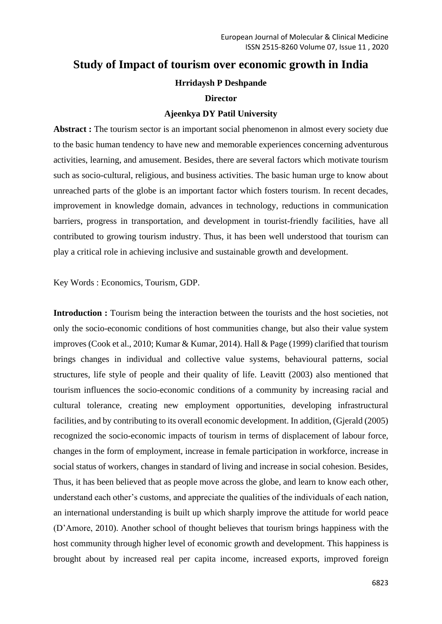# **Study of Impact of tourism over economic growth in India**

## **Hrridaysh P Deshpande**

#### **Director**

#### **Ajeenkya DY Patil University**

Abstract : The tourism sector is an important social phenomenon in almost every society due to the basic human tendency to have new and memorable experiences concerning adventurous activities, learning, and amusement. Besides, there are several factors which motivate tourism such as socio-cultural, religious, and business activities. The basic human urge to know about unreached parts of the globe is an important factor which fosters tourism. In recent decades, improvement in knowledge domain, advances in technology, reductions in communication barriers, progress in transportation, and development in tourist-friendly facilities, have all contributed to growing tourism industry. Thus, it has been well understood that tourism can play a critical role in achieving inclusive and sustainable growth and development.

Key Words : Economics, Tourism, GDP.

**Introduction :** Tourism being the interaction between the tourists and the host societies, not only the socio-economic conditions of host communities change, but also their value system improves (Cook et al., 2010; Kumar & Kumar, 2014). Hall & Page (1999) clarified that tourism brings changes in individual and collective value systems, behavioural patterns, social structures, life style of people and their quality of life. Leavitt (2003) also mentioned that tourism influences the socio-economic conditions of a community by increasing racial and cultural tolerance, creating new employment opportunities, developing infrastructural facilities, and by contributing to its overall economic development. In addition, (Gjerald (2005) recognized the socio-economic impacts of tourism in terms of displacement of labour force, changes in the form of employment, increase in female participation in workforce, increase in social status of workers, changes in standard of living and increase in social cohesion. Besides, Thus, it has been believed that as people move across the globe, and learn to know each other, understand each other's customs, and appreciate the qualities of the individuals of each nation, an international understanding is built up which sharply improve the attitude for world peace (D'Amore, 2010). Another school of thought believes that tourism brings happiness with the host community through higher level of economic growth and development. This happiness is brought about by increased real per capita income, increased exports, improved foreign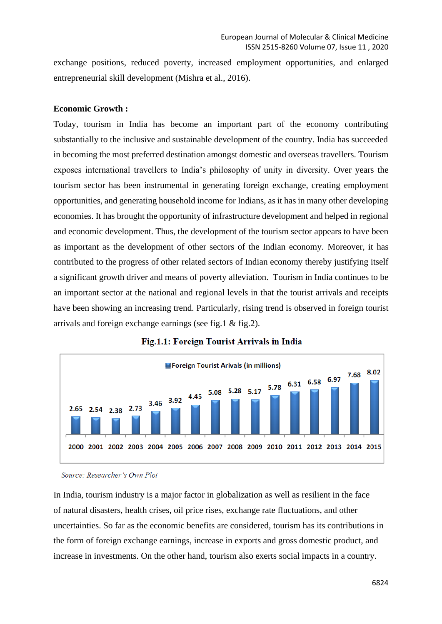exchange positions, reduced poverty, increased employment opportunities, and enlarged entrepreneurial skill development (Mishra et al., 2016).

#### **Economic Growth :**

Today, tourism in India has become an important part of the economy contributing substantially to the inclusive and sustainable development of the country. India has succeeded in becoming the most preferred destination amongst domestic and overseas travellers. Tourism exposes international travellers to India's philosophy of unity in diversity. Over years the tourism sector has been instrumental in generating foreign exchange, creating employment opportunities, and generating household income for Indians, as it has in many other developing economies. It has brought the opportunity of infrastructure development and helped in regional and economic development. Thus, the development of the tourism sector appears to have been as important as the development of other sectors of the Indian economy. Moreover, it has contributed to the progress of other related sectors of Indian economy thereby justifying itself a significant growth driver and means of poverty alleviation. Tourism in India continues to be an important sector at the national and regional levels in that the tourist arrivals and receipts have been showing an increasing trend. Particularly, rising trend is observed in foreign tourist arrivals and foreign exchange earnings (see fig.1 & fig.2).





Source: Researcher's Own Plot

In India, tourism industry is a major factor in globalization as well as resilient in the face of natural disasters, health crises, oil price rises, exchange rate fluctuations, and other uncertainties. So far as the economic benefits are considered, tourism has its contributions in the form of foreign exchange earnings, increase in exports and gross domestic product, and increase in investments. On the other hand, tourism also exerts social impacts in a country.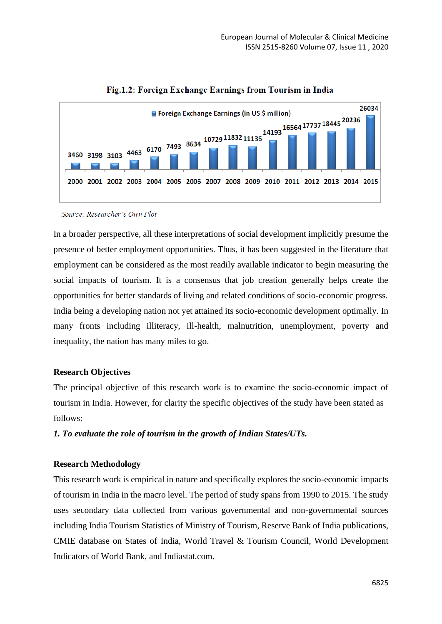



Source: Researcher's Own Plot

In a broader perspective, all these interpretations of social development implicitly presume the presence of better employment opportunities. Thus, it has been suggested in the literature that employment can be considered as the most readily available indicator to begin measuring the social impacts of tourism. It is a consensus that job creation generally helps create the opportunities for better standards of living and related conditions of socio-economic progress. India being a developing nation not yet attained its socio-economic development optimally. In many fronts including illiteracy, ill-health, malnutrition, unemployment, poverty and inequality, the nation has many miles to go.

## **Research Objectives**

The principal objective of this research work is to examine the socio-economic impact of tourism in India. However, for clarity the specific objectives of the study have been stated as follows:

*1. To evaluate the role of tourism in the growth of Indian States/UTs.*

## **Research Methodology**

This research work is empirical in nature and specifically explores the socio-economic impacts of tourism in India in the macro level. The period of study spans from 1990 to 2015. The study uses secondary data collected from various governmental and non-governmental sources including India Tourism Statistics of Ministry of Tourism, Reserve Bank of India publications, CMIE database on States of India, World Travel & Tourism Council, World Development Indicators of World Bank, and Indiastat.com.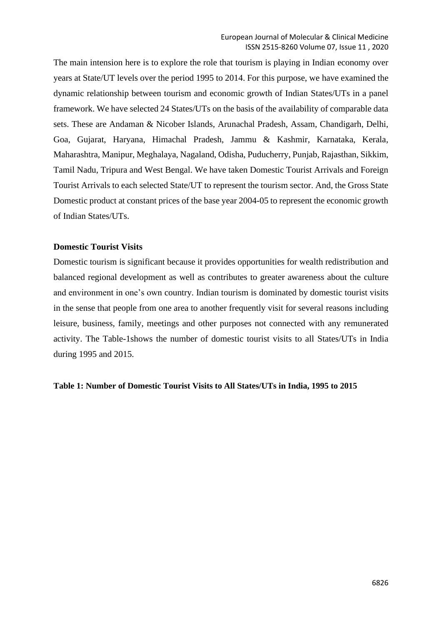The main intension here is to explore the role that tourism is playing in Indian economy over years at State/UT levels over the period 1995 to 2014. For this purpose, we have examined the dynamic relationship between tourism and economic growth of Indian States/UTs in a panel framework. We have selected 24 States/UTs on the basis of the availability of comparable data sets. These are Andaman & Nicober Islands, Arunachal Pradesh, Assam, Chandigarh, Delhi, Goa, Gujarat, Haryana, Himachal Pradesh, Jammu & Kashmir, Karnataka, Kerala, Maharashtra, Manipur, Meghalaya, Nagaland, Odisha, Puducherry, Punjab, Rajasthan, Sikkim, Tamil Nadu, Tripura and West Bengal. We have taken Domestic Tourist Arrivals and Foreign Tourist Arrivals to each selected State/UT to represent the tourism sector. And, the Gross State Domestic product at constant prices of the base year 2004-05 to represent the economic growth of Indian States/UTs.

#### **Domestic Tourist Visits**

Domestic tourism is significant because it provides opportunities for wealth redistribution and balanced regional development as well as contributes to greater awareness about the culture and environment in one's own country. Indian tourism is dominated by domestic tourist visits in the sense that people from one area to another frequently visit for several reasons including leisure, business, family, meetings and other purposes not connected with any remunerated activity. The Table-1shows the number of domestic tourist visits to all States/UTs in India during 1995 and 2015.

#### **Table 1: Number of Domestic Tourist Visits to All States/UTs in India, 1995 to 2015**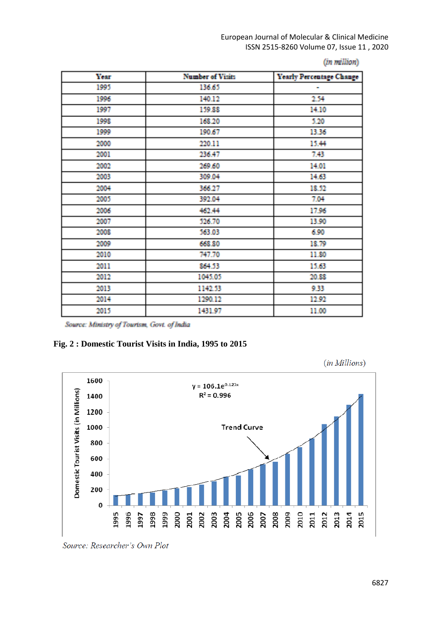European Journal of Molecular & Clinical Medicine ISSN 2515-8260 Volume 07, Issue 11 , 2020

| <b>Year</b> | <b>Number of Visits</b> | <b>Yearly Percentage Change</b> |
|-------------|-------------------------|---------------------------------|
| 1995        | 136.65                  | in.                             |
| 1996        | 140.12                  | 254                             |
| 1997        | 159.88                  | 14.10                           |
| 1998        | 168.20                  | 5.20                            |
| 1999        | 190.67                  | 13.36                           |
| 2000        | 220.11                  | 15.44                           |
| 2001        | 236.47                  | 7.43                            |
| 2002        | 269.60                  | 14.01                           |
| 2003        | 309.04                  | 14.63                           |
| 2004        | 366.27                  | 18.52                           |
| 2005        | 392.04                  | 7.04                            |
| 2006        | 462.44                  | 17.96                           |
| 2007        | 526.70                  | 13.90                           |
| 2008        | 563.03                  | 6.90                            |
| 2009        | 668.80                  | 18.79                           |
| 2010        | 747.70                  | 11.80                           |
| 2011        | 864.53                  | 15.63                           |
| 2012        | 1045.05                 | 20.88                           |
| 2013        | 1142.53                 | 9.33                            |
| 2014        | 1290.12                 | 12.92                           |
| 2015        | 1431.97                 | 11.00                           |

Source: Ministry of Tourism, Govt. of India

#### **Fig. 2 : Domestic Tourist Visits in India, 1995 to 2015**





Source: Researcher's Own Plot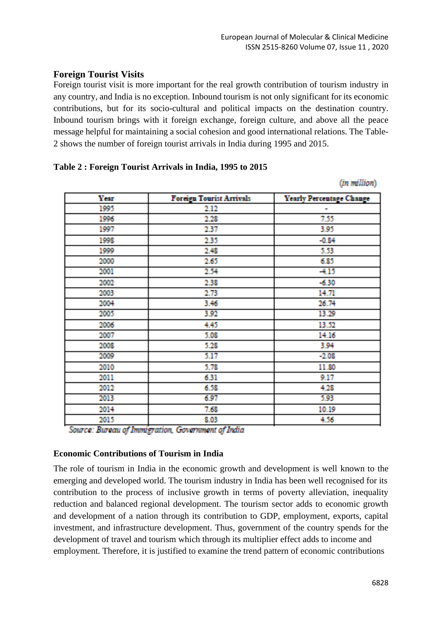## **Foreign Tourist Visits**

Foreign tourist visit is more important for the real growth contribution of tourism industry in any country, and India is no exception. Inbound tourism is not only significant for its economic contributions, but for its socio-cultural and political impacts on the destination country. Inbound tourism brings with it foreign exchange, foreign culture, and above all the peace message helpful for maintaining a social cohesion and good international relations. The Table-2 shows the number of foreign tourist arrivals in India during 1995 and 2015.

## **Table 2 : Foreign Tourist Arrivals in India, 1995 to 2015**

**Year Foreign Tourist Arrivals Yearly Percentage Change** 1005 2.12 2.28 7.55 1996 1997 237 3.95 1003 235 -0.84 1999 5.53 2.48 2000  $2.65$ 6.85 254  $-4.15$ 2001 2002 238  $-630$ 2003 2.73 14.71 2004 3.46 26.74 2005 3.02 13.29 2006 4.45 13.52 2007 5.08 14.16 5.28 3.94 2008 2009 5.17  $-2.08$ 2010 5.78 11.80 2011 6.31 9.17 4.28 2012 6.58 2013 6.97 5.93 7.68 10.19 2014 2015 8.03 4.56

(in million)

Source: Bureau of Immigration, Government of India

## **Economic Contributions of Tourism in India**

The role of tourism in India in the economic growth and development is well known to the emerging and developed world. The tourism industry in India has been well recognised for its contribution to the process of inclusive growth in terms of poverty alleviation, inequality reduction and balanced regional development. The tourism sector adds to economic growth and development of a nation through its contribution to GDP, employment, exports, capital investment, and infrastructure development. Thus, government of the country spends for the development of travel and tourism which through its multiplier effect adds to income and employment. Therefore, it is justified to examine the trend pattern of economic contributions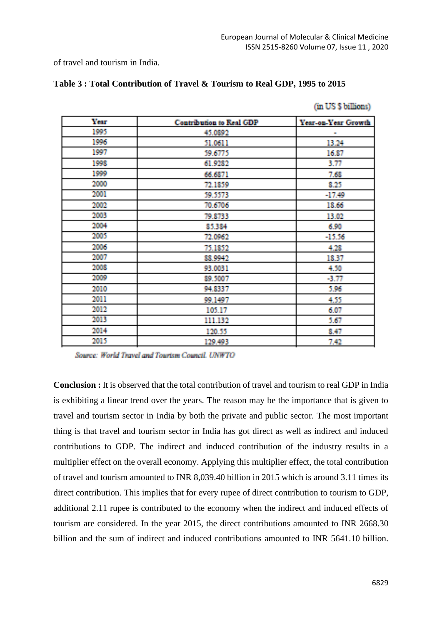(in US \$ billions)

of travel and tourism in India.

| <b>Contribution to Real GDP</b> | Year-on-Year Growth |
|---------------------------------|---------------------|
| 45.0892                         | m,                  |
| 51.0611                         | 13.24               |
| 39.6775                         | 16.87               |
| 61.9282                         | 3.77                |
| 66.6871                         | 7.68                |
| 72.1859                         | 8.25                |
| 59.5573                         | -17.49              |
| 70.6706                         | 18.66               |
| 79.8733                         | 13.02               |
| 85.384                          | 6.90                |
| 72.0962                         | $-15.56$            |
| 75,1852                         | 4.28                |
| 88.9942                         | 18.37               |
| 93,0031                         | 4.50                |
| 89,5007                         | -3.77               |
| 94.8337                         | 5.96                |
| 99.1497                         | 4.35                |
| 105.17                          | 6.07                |
| 111.132                         | 5.67                |
| 120.55                          | 8.47                |
| 129.493                         | 742                 |
|                                 |                     |

| Table 3: Total Contribution of Travel & Tourism to Real GDP, 1995 to 2015 |  |  |  |
|---------------------------------------------------------------------------|--|--|--|
|---------------------------------------------------------------------------|--|--|--|

Source: World Travel and Tourism Council, UNWTO

**Conclusion :** It is observed that the total contribution of travel and tourism to real GDP in India is exhibiting a linear trend over the years. The reason may be the importance that is given to travel and tourism sector in India by both the private and public sector. The most important thing is that travel and tourism sector in India has got direct as well as indirect and induced contributions to GDP. The indirect and induced contribution of the industry results in a multiplier effect on the overall economy. Applying this multiplier effect, the total contribution of travel and tourism amounted to INR 8,039.40 billion in 2015 which is around 3.11 times its direct contribution. This implies that for every rupee of direct contribution to tourism to GDP, additional 2.11 rupee is contributed to the economy when the indirect and induced effects of tourism are considered. In the year 2015, the direct contributions amounted to INR 2668.30 billion and the sum of indirect and induced contributions amounted to INR 5641.10 billion.